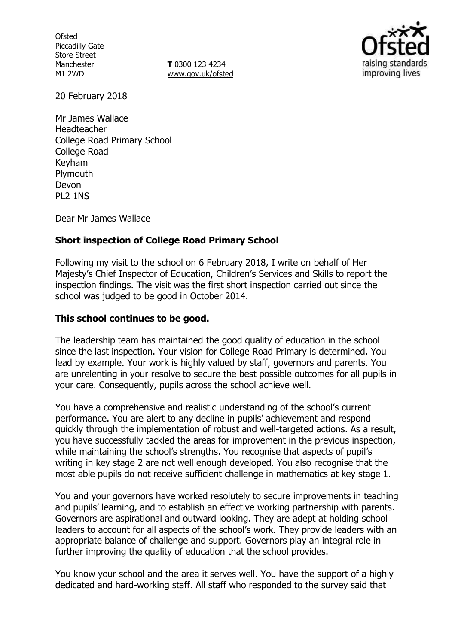**Ofsted** Piccadilly Gate Store Street Manchester M1 2WD

**T** 0300 123 4234 www.gov.uk/ofsted



20 February 2018

Mr James Wallace Headteacher College Road Primary School College Road Keyham **Plymouth** Devon PL2 1NS

Dear Mr James Wallace

### **Short inspection of College Road Primary School**

Following my visit to the school on 6 February 2018, I write on behalf of Her Majesty's Chief Inspector of Education, Children's Services and Skills to report the inspection findings. The visit was the first short inspection carried out since the school was judged to be good in October 2014.

#### **This school continues to be good.**

The leadership team has maintained the good quality of education in the school since the last inspection. Your vision for College Road Primary is determined. You lead by example. Your work is highly valued by staff, governors and parents. You are unrelenting in your resolve to secure the best possible outcomes for all pupils in your care. Consequently, pupils across the school achieve well.

You have a comprehensive and realistic understanding of the school's current performance. You are alert to any decline in pupils' achievement and respond quickly through the implementation of robust and well-targeted actions. As a result, you have successfully tackled the areas for improvement in the previous inspection, while maintaining the school's strengths. You recognise that aspects of pupil's writing in key stage 2 are not well enough developed. You also recognise that the most able pupils do not receive sufficient challenge in mathematics at key stage 1.

You and your governors have worked resolutely to secure improvements in teaching and pupils' learning, and to establish an effective working partnership with parents. Governors are aspirational and outward looking. They are adept at holding school leaders to account for all aspects of the school's work. They provide leaders with an appropriate balance of challenge and support. Governors play an integral role in further improving the quality of education that the school provides.

You know your school and the area it serves well. You have the support of a highly dedicated and hard-working staff. All staff who responded to the survey said that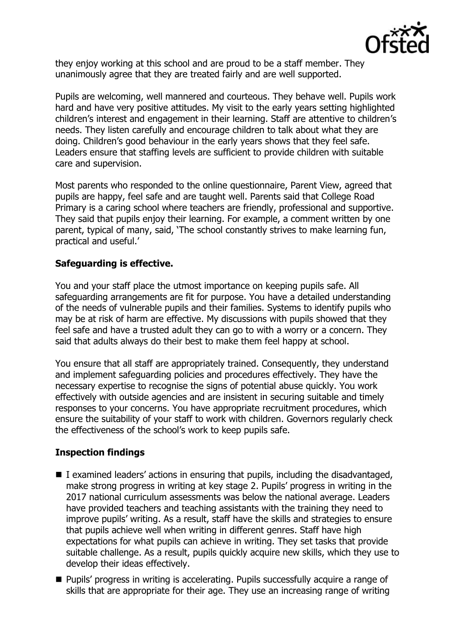

they enjoy working at this school and are proud to be a staff member. They unanimously agree that they are treated fairly and are well supported.

Pupils are welcoming, well mannered and courteous. They behave well. Pupils work hard and have very positive attitudes. My visit to the early years setting highlighted children's interest and engagement in their learning. Staff are attentive to children's needs. They listen carefully and encourage children to talk about what they are doing. Children's good behaviour in the early years shows that they feel safe. Leaders ensure that staffing levels are sufficient to provide children with suitable care and supervision.

Most parents who responded to the online questionnaire, Parent View, agreed that pupils are happy, feel safe and are taught well. Parents said that College Road Primary is a caring school where teachers are friendly, professional and supportive. They said that pupils enjoy their learning. For example, a comment written by one parent, typical of many, said, 'The school constantly strives to make learning fun, practical and useful.'

# **Safeguarding is effective.**

You and your staff place the utmost importance on keeping pupils safe. All safeguarding arrangements are fit for purpose. You have a detailed understanding of the needs of vulnerable pupils and their families. Systems to identify pupils who may be at risk of harm are effective. My discussions with pupils showed that they feel safe and have a trusted adult they can go to with a worry or a concern. They said that adults always do their best to make them feel happy at school.

You ensure that all staff are appropriately trained. Consequently, they understand and implement safeguarding policies and procedures effectively. They have the necessary expertise to recognise the signs of potential abuse quickly. You work effectively with outside agencies and are insistent in securing suitable and timely responses to your concerns. You have appropriate recruitment procedures, which ensure the suitability of your staff to work with children. Governors regularly check the effectiveness of the school's work to keep pupils safe.

### **Inspection findings**

- $\blacksquare$  I examined leaders' actions in ensuring that pupils, including the disadvantaged, make strong progress in writing at key stage 2. Pupils' progress in writing in the 2017 national curriculum assessments was below the national average. Leaders have provided teachers and teaching assistants with the training they need to improve pupils' writing. As a result, staff have the skills and strategies to ensure that pupils achieve well when writing in different genres. Staff have high expectations for what pupils can achieve in writing. They set tasks that provide suitable challenge. As a result, pupils quickly acquire new skills, which they use to develop their ideas effectively.
- Pupils' progress in writing is accelerating. Pupils successfully acquire a range of skills that are appropriate for their age. They use an increasing range of writing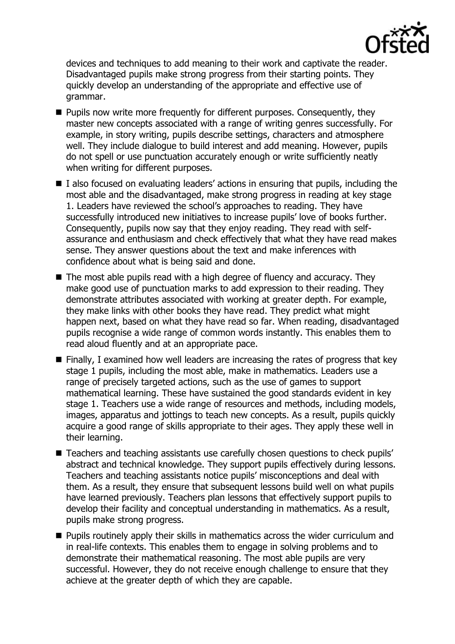

devices and techniques to add meaning to their work and captivate the reader. Disadvantaged pupils make strong progress from their starting points. They quickly develop an understanding of the appropriate and effective use of grammar.

- **Pupils now write more frequently for different purposes. Consequently, they** master new concepts associated with a range of writing genres successfully. For example, in story writing, pupils describe settings, characters and atmosphere well. They include dialogue to build interest and add meaning. However, pupils do not spell or use punctuation accurately enough or write sufficiently neatly when writing for different purposes.
- $\blacksquare$  I also focused on evaluating leaders' actions in ensuring that pupils, including the most able and the disadvantaged, make strong progress in reading at key stage 1. Leaders have reviewed the school's approaches to reading. They have successfully introduced new initiatives to increase pupils' love of books further. Consequently, pupils now say that they enjoy reading. They read with selfassurance and enthusiasm and check effectively that what they have read makes sense. They answer questions about the text and make inferences with confidence about what is being said and done.
- The most able pupils read with a high degree of fluency and accuracy. They make good use of punctuation marks to add expression to their reading. They demonstrate attributes associated with working at greater depth. For example, they make links with other books they have read. They predict what might happen next, based on what they have read so far. When reading, disadvantaged pupils recognise a wide range of common words instantly. This enables them to read aloud fluently and at an appropriate pace.
- Finally, I examined how well leaders are increasing the rates of progress that key stage 1 pupils, including the most able, make in mathematics. Leaders use a range of precisely targeted actions, such as the use of games to support mathematical learning. These have sustained the good standards evident in key stage 1. Teachers use a wide range of resources and methods, including models, images, apparatus and jottings to teach new concepts. As a result, pupils quickly acquire a good range of skills appropriate to their ages. They apply these well in their learning.
- Teachers and teaching assistants use carefully chosen questions to check pupils' abstract and technical knowledge. They support pupils effectively during lessons. Teachers and teaching assistants notice pupils' misconceptions and deal with them. As a result, they ensure that subsequent lessons build well on what pupils have learned previously. Teachers plan lessons that effectively support pupils to develop their facility and conceptual understanding in mathematics. As a result, pupils make strong progress.
- **Pupils routinely apply their skills in mathematics across the wider curriculum and** in real-life contexts. This enables them to engage in solving problems and to demonstrate their mathematical reasoning. The most able pupils are very successful. However, they do not receive enough challenge to ensure that they achieve at the greater depth of which they are capable.